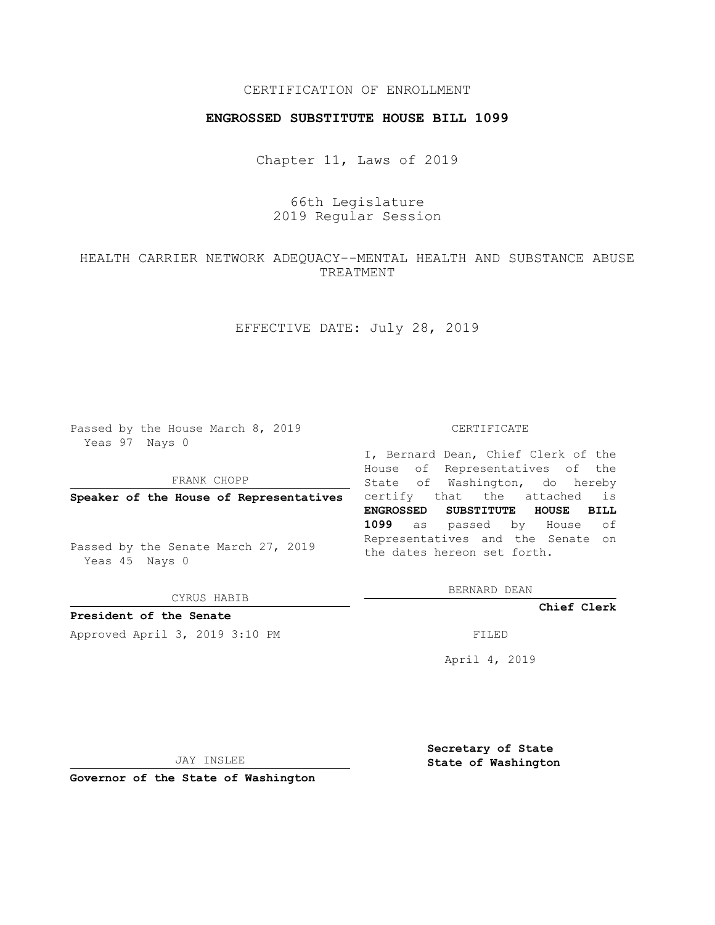## CERTIFICATION OF ENROLLMENT

## **ENGROSSED SUBSTITUTE HOUSE BILL 1099**

Chapter 11, Laws of 2019

# 66th Legislature 2019 Regular Session

HEALTH CARRIER NETWORK ADEQUACY--MENTAL HEALTH AND SUBSTANCE ABUSE TREATMENT

EFFECTIVE DATE: July 28, 2019

Passed by the House March 8, 2019 Yeas 97 Nays 0

FRANK CHOPP

Passed by the Senate March 27, 2019 Yeas 45 Nays 0

CYRUS HABIB

**President of the Senate**

Approved April 3, 2019 3:10 PM FILED

#### CERTIFICATE

**Speaker of the House of Representatives** certify that the attached is I, Bernard Dean, Chief Clerk of the House of Representatives of the State of Washington, do hereby **ENGROSSED SUBSTITUTE HOUSE BILL 1099** as passed by House of Representatives and the Senate on the dates hereon set forth.

BERNARD DEAN

**Chief Clerk**

April 4, 2019

JAY INSLEE

**Governor of the State of Washington**

**Secretary of State State of Washington**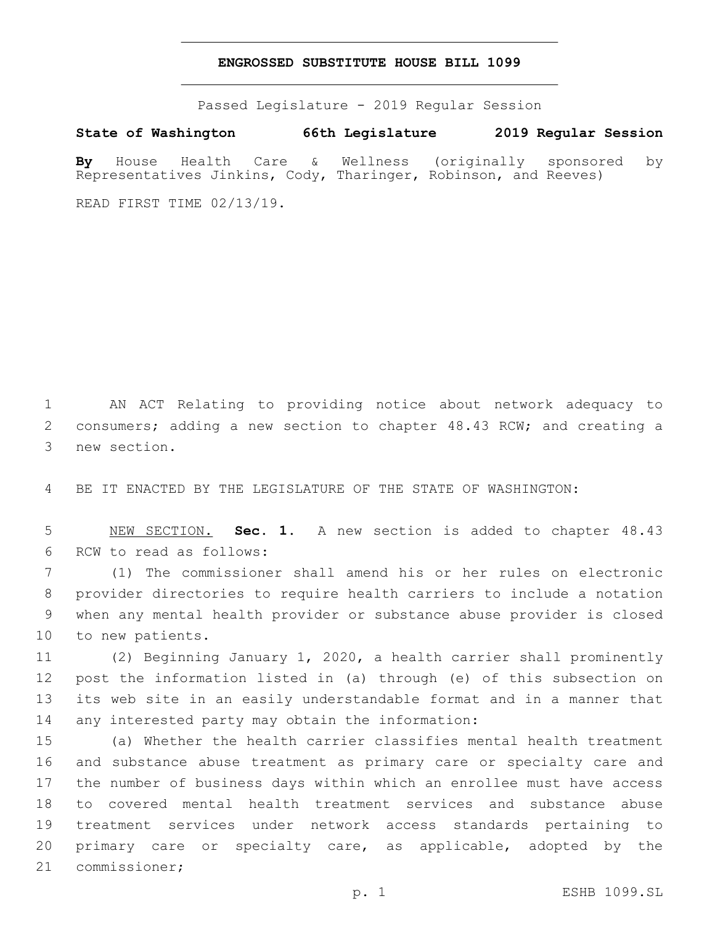### **ENGROSSED SUBSTITUTE HOUSE BILL 1099**

Passed Legislature - 2019 Regular Session

**State of Washington 66th Legislature 2019 Regular Session**

**By** House Health Care & Wellness (originally sponsored by Representatives Jinkins, Cody, Tharinger, Robinson, and Reeves)

READ FIRST TIME 02/13/19.

1 AN ACT Relating to providing notice about network adequacy to 2 consumers; adding a new section to chapter 48.43 RCW; and creating a 3 new section.

4 BE IT ENACTED BY THE LEGISLATURE OF THE STATE OF WASHINGTON:

5 NEW SECTION. **Sec. 1.** A new section is added to chapter 48.43 6 RCW to read as follows:

 (1) The commissioner shall amend his or her rules on electronic provider directories to require health carriers to include a notation when any mental health provider or substance abuse provider is closed 10 to new patients.

 (2) Beginning January 1, 2020, a health carrier shall prominently post the information listed in (a) through (e) of this subsection on its web site in an easily understandable format and in a manner that 14 any interested party may obtain the information:

 (a) Whether the health carrier classifies mental health treatment and substance abuse treatment as primary care or specialty care and the number of business days within which an enrollee must have access to covered mental health treatment services and substance abuse treatment services under network access standards pertaining to primary care or specialty care, as applicable, adopted by the 21 commissioner;